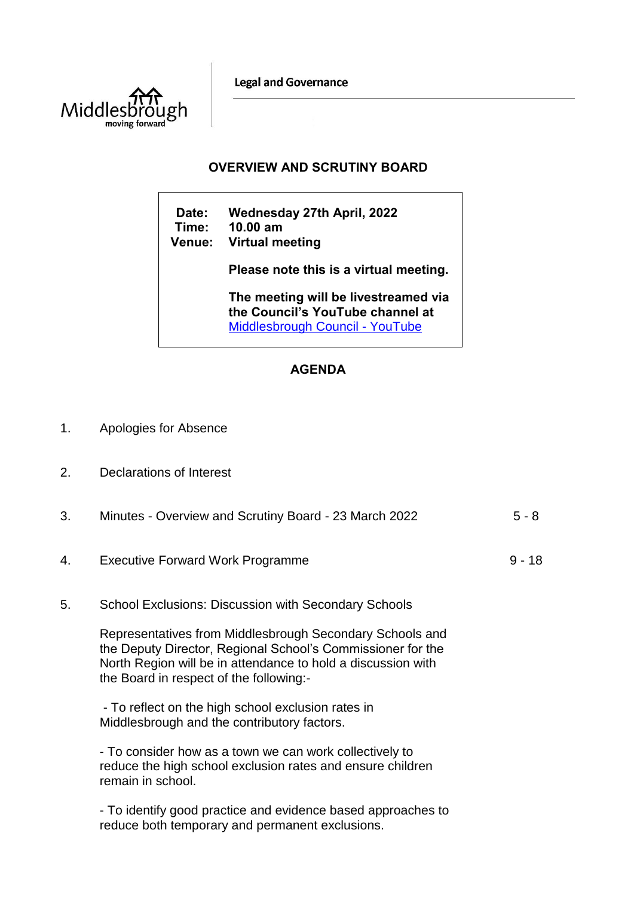**Legal and Governance** 



## **OVERVIEW AND SCRUTINY BOARD**

**Date: Wednesday 27th April, 2022 Time: 10.00 am Venue: Virtual meeting Please note this is a virtual meeting. The meeting will be livestreamed via the Council's YouTube channel at**  [Middlesbrough Council -](https://www.youtube.com/user/middlesbroughcouncil) YouTube

## **AGENDA**

- 1. Apologies for Absence
- 2. Declarations of Interest

| 3. | Minutes - Overview and Scrutiny Board - 23 March 2022                                                                                                                                                                              | $5 - 8$  |
|----|------------------------------------------------------------------------------------------------------------------------------------------------------------------------------------------------------------------------------------|----------|
| 4. | <b>Executive Forward Work Programme</b>                                                                                                                                                                                            | $9 - 18$ |
| 5. | <b>School Exclusions: Discussion with Secondary Schools</b>                                                                                                                                                                        |          |
|    | Representatives from Middlesbrough Secondary Schools and<br>the Deputy Director, Regional School's Commissioner for the<br>North Region will be in attendance to hold a discussion with<br>the Board in respect of the following:- |          |
|    | - To reflect on the high school exclusion rates in<br>Middlesbrough and the contributory factors.                                                                                                                                  |          |
|    | - To consider how as a town we can work collectively to<br>reduce the high school exclusion rates and ensure children<br>remain in school.                                                                                         |          |
|    | - To identify good practice and evidence based approaches to<br>reduce both temporary and permanent exclusions.                                                                                                                    |          |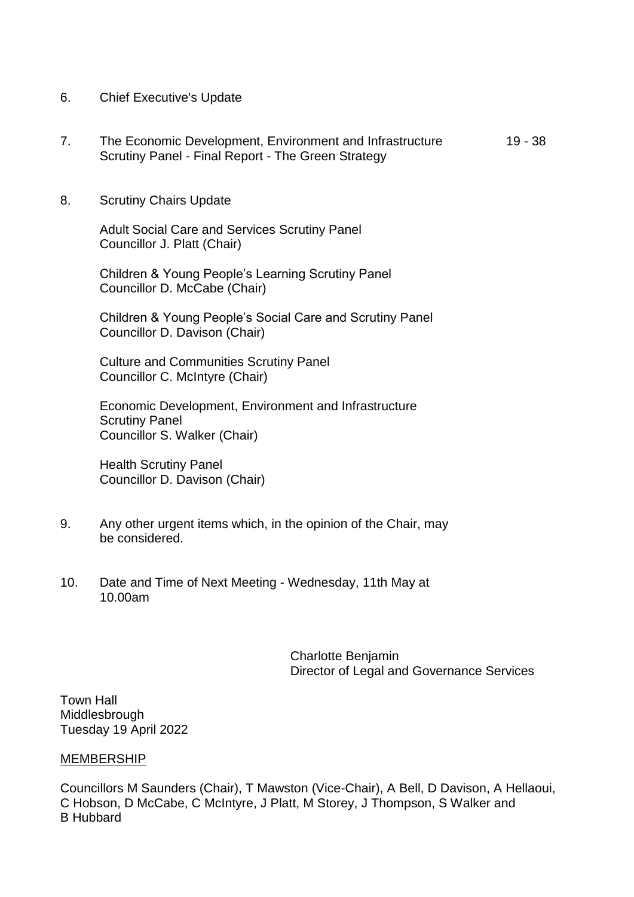- 6. Chief Executive's Update
- 7. The Economic Development, Environment and Infrastructure Scrutiny Panel - Final Report - The Green Strategy 19 - 38
- 8. Scrutiny Chairs Update

Adult Social Care and Services Scrutiny Panel Councillor J. Platt (Chair)

Children & Young People's Learning Scrutiny Panel Councillor D. McCabe (Chair)

Children & Young People's Social Care and Scrutiny Panel Councillor D. Davison (Chair)

Culture and Communities Scrutiny Panel Councillor C. McIntyre (Chair)

Economic Development, Environment and Infrastructure Scrutiny Panel Councillor S. Walker (Chair)

Health Scrutiny Panel Councillor D. Davison (Chair)

- 9. Any other urgent items which, in the opinion of the Chair, may be considered.
- 10. Date and Time of Next Meeting Wednesday, 11th May at 10.00am

Charlotte Benjamin Director of Legal and Governance Services

Town Hall Middlesbrough Tuesday 19 April 2022

## MEMBERSHIP

Councillors M Saunders (Chair), T Mawston (Vice-Chair), A Bell, D Davison, A Hellaoui, C Hobson, D McCabe, C McIntyre, J Platt, M Storey, J Thompson, S Walker and B Hubbard